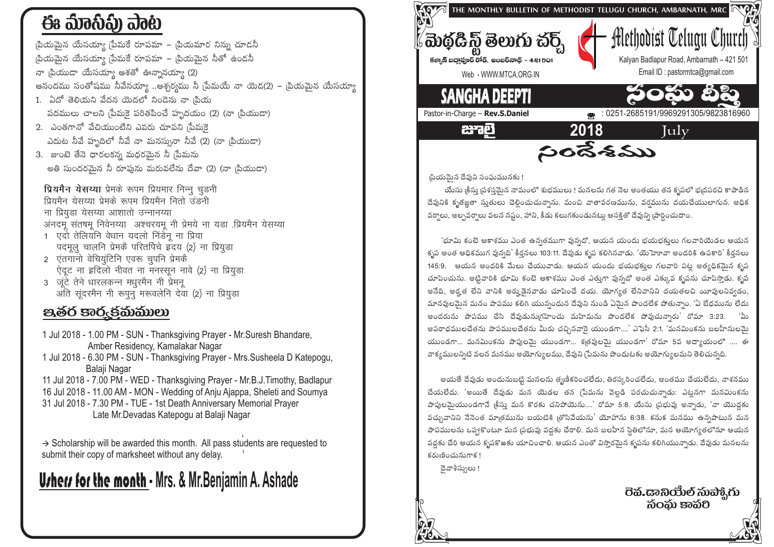# ఈ ಮಾನಿವಿ) ವಾಟ

సియమైన యేసయ్యా స్టేమకే రూపమా – స్థియమార నిన్ను చూడనీ ్రపియమైన యేసయ్యా <sub>(</sub>పేమకే రూపమా – <sub>(</sub>పియమైన నీతో ఉండనీ

నా బ్రియుడా యేసయ్యా ఆశతో ఊన్నానయ్యా (2)

ఆనందము సంతోషము నీవేనయ్యా ..ఆశ్చర్వము నీ [పేమయే నా యెడ(2) – [పియమైన యేసయ్యా

- 1. ఏదో తెలియని వేదన యెదలో నిండెను నా ¦పియ పదములు చాలని స్రేమకై పరితపించే హృదయం (2) (నా బియుడా)
- 2. ఎంతగానో వేచియుంటిని ఎవరు చూపని మేమకె ఎదుట నీవే హృదిలో నీవే నా మనస్సునా నీవే (2) (నా బ్రియుడా)
- 3. జుంటె తేనె ధారలకన్న మధరమైన నీ ్ౖరేమను అతి సుందరమెన నీ రూపును మరువలేను దేవా (2) (నా ౹పియుడా)

प्रियमैन येसय्या प्रेमके रूपम प्रियमार निन्न चडनी प्रियमैन येसय्या प्रेमके रूपम प्रियमैन नितो उंडनी ना प्रियडा येसय्या आशातो उन्नानय्या अनदम् संतषम् निवेनय्या अश्चरयम् नी प्रेमये ना यडा प्रियमैन येसय्या 1 एदों तेलियनि वेधान यदलो निर्डन ना प्रिया

- पदमूल चालनि प्रेमकै परितपिचे हृदय (2) ना प्रियुड़ा
- 2 एंतगानो वेचियुंटिनि एवरू चुपनि प्रेमकै ऐदूट ना इदिलो नीवत ना मनस्सून नावे (2) ना प्रियुड़ा 3 जुंटें तेने धारलकन्न मधुरमैन नी प्रेमन्
- अंति संदरमैन नी रूपन मरूवलेनि देवा (2) ना प्रियड़ा

### පූෂ්ර පාරුජිකිකාගා

- 1 Jul 2018 1.00 PM SUN Thanksgiving Prayer Mr. Suresh Bhandare, Amber Residency, Kamalakar Nagar
- 1 Jul 2018 6.30 PM SUN Thanksgiving Prayer Mrs. Susheela D Katepogu, Balaji Nagar
- 11 Jul 2018 7.00 PM WED Thanksgiving Prayer Mr.B.J.Timothy, Badlapur
- 16 Jul 2018 11.00 AM MON Wedding of Anju Ajappa, Sheleti and Soumya
- 31 Jul 2018 7.30 PM TUE 1st Death Anniversary Memorial Prayer Late Mr. Devadas Katepogu at Balaji Nagar

 $\rightarrow$  Scholarship will be awarded this month. All pass students are requested to submit their copy of marksheet without any delay.

## **Urhers for the month - Mrs. & Mr. Benjamin A. Ashade**



(పియమైన దేవుని సంఘమునకు !

యేసు క్రీసు ప్రశస్తమైన నామంలో శుభములు ! మనలను గత నెల అంతయు తన కృపలో భ్రదపరచి కాపాడిన దేవునికి కృతజ్ఞతా సుతులు చెల్లించుచున్నాను. మంచి వాతావరణమును, వర్షమును దయచేయులాగున. అధిక వర్షాలు, అల్పవర్షాలు వలన నష్టం, హాని, కీడు కలుగకుండునటు ఆసక్తితో దేవున్ని (పార్థించుదాం.

'భూమి కంటె ఆకాశము ఎంత ఉన్నతముగా వున్నదో, ఆయన యందు భయభక్తులు గలవారియెడల ఆయన కృప అంత ఆధికముగ వున్నది' కీర్తనలు 103:11. దేవుడు కృప కలిగినవాడు. 'యెహెూవా అందరికి ఉపకారి' కీర్తనలు 145:9. ఆయన అందరికి మేలు చేయువాడు. ఆయన యందు భయభక్తుల గలవారి పట్ల అత్యధికమైన కృప చూపించును. అట్టివారికి భూమి కంటె ఆకాశము ఎంత ఎత్తుగా వున్నదో అంత ఎక్కువ కృపను చూపిస్తాడు. కృప అనేది, అర్త లేని వానికి అర్హుడెనవాడు చూపించే దయ. యోగ్యత లేనివానిని దయతలచి యీవులనివ్వడం, మానవులమెన మనం పాపము కలిగి యున్నందున దేవుని నుండి ఏమెన పొందలేక పోతున్నాం. 'ఏ బేధమును లేదు అందరును పాపము చేసి దేవుడునుగ్రహించు మహిమను పొందలేక పోవుచున్నారు' రోమా 3:23. 'మీ అపరాధములచేతను పాపములచేతను మీరు చచ్చినవారై యుండగా....' ఎఫెసీ 2:1. 'మనమింకను బలహీనులమై యుండగా... మనమింకను పాపులమై యుండగా... శత్రవులమై యుండగా' రోమా 5వ అద్యాయంలో .... ఈ వాక్యములన్నిటి వలన మనము అయోగ్యులము, దేవుని (పేమను పొందుటకు అయోగ్యులమని తెలిచున్నది.

అయతే దేవుడు అందునుబట్టి మనలను తృణీకరించలేదు, తిరస్కరించలేదు, అంతము చేయలేదు, నాశనము చేయలేదు. 'అయితే దేవుడు మన యెడల తన (పేమను వెలడి పరచుచున్నాడు: ఎటనగా మనమింకను పాపులమైయుండగానే <sub>(</sub>కీసు మన కొరకు చనిపోయెను....' రోమా 5:8. యేసు <sub>(</sub>పభువు అన్నాడు, 'నా యొద్దకు వచ్చువానిని నేనెంత మాత్రమును బయటికి త్రోసివేయను' యోహాను 6:38. కనుక మనము ఉన్నపాటున మన పాపములను ఒప్పకొంటూ మన (పభువు వద్దకు చేరాలి. మన బలహీన స్థితిలోనూ, మన ఆయోగ్యతలోనూ ఆయన వద్దకు చేరి ఆయన కృపకొఱకు యాచించాలి. ఆయన ఎంతో విస్తారమైన కృపను కలిగియున్నాడు. దేవుడు మనలను కరుణించునుగాక!

దెవాశీస్సులు !

సంసు కానం